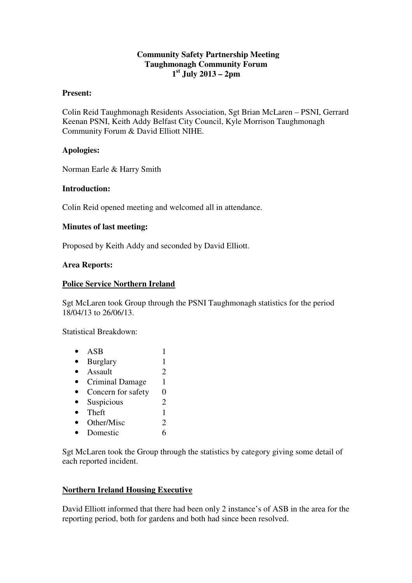# **Community Safety Partnership Meeting Taughmonagh Community Forum 1 st July 2013 – 2pm**

#### **Present:**

Colin Reid Taughmonagh Residents Association, Sgt Brian McLaren – PSNI, Gerrard Keenan PSNI, Keith Addy Belfast City Council, Kyle Morrison Taughmonagh Community Forum & David Elliott NIHE.

# **Apologies:**

Norman Earle & Harry Smith

### **Introduction:**

Colin Reid opened meeting and welcomed all in attendance.

### **Minutes of last meeting:**

Proposed by Keith Addy and seconded by David Elliott.

#### **Area Reports:**

### **Police Service Northern Ireland**

Sgt McLaren took Group through the PSNI Taughmonagh statistics for the period 18/04/13 to 26/06/13.

Statistical Breakdown:

•  $ASB$  1 • Burglary 1 • Assault  $\overline{2}$ • Criminal Damage 1 • Concern for safety 0 • Suspicious 2 • Theft  $1$ • Other/Misc  $2$ • Domestic 6

Sgt McLaren took the Group through the statistics by category giving some detail of each reported incident.

# **Northern Ireland Housing Executive**

David Elliott informed that there had been only 2 instance's of ASB in the area for the reporting period, both for gardens and both had since been resolved.